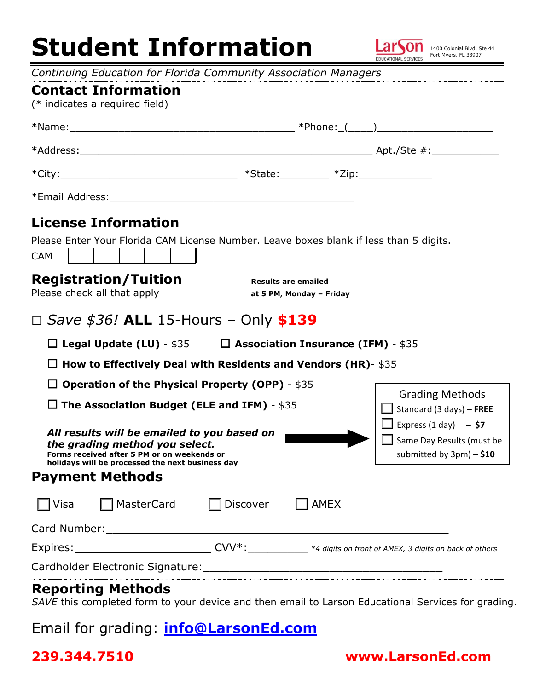# **Student Information**



*Continuing Education for Florida Community Association Managers* 

|                                                                                                                                                                                                                                        | Continuing Laacation for Honda Community Association managers                          |          |                                                                                          |                                                           |  |
|----------------------------------------------------------------------------------------------------------------------------------------------------------------------------------------------------------------------------------------|----------------------------------------------------------------------------------------|----------|------------------------------------------------------------------------------------------|-----------------------------------------------------------|--|
| (* indicates a required field)                                                                                                                                                                                                         | <b>Contact Information</b>                                                             |          |                                                                                          |                                                           |  |
|                                                                                                                                                                                                                                        |                                                                                        |          |                                                                                          |                                                           |  |
|                                                                                                                                                                                                                                        |                                                                                        |          |                                                                                          |                                                           |  |
|                                                                                                                                                                                                                                        |                                                                                        |          |                                                                                          |                                                           |  |
|                                                                                                                                                                                                                                        |                                                                                        |          |                                                                                          |                                                           |  |
|                                                                                                                                                                                                                                        | <b>License Information</b>                                                             |          |                                                                                          |                                                           |  |
| <b>CAM</b>                                                                                                                                                                                                                             | Please Enter Your Florida CAM License Number. Leave boxes blank if less than 5 digits. |          |                                                                                          |                                                           |  |
| Please check all that apply                                                                                                                                                                                                            | <b>Registration/Tuition</b>                                                            |          | <b>Results are emailed</b><br>at 5 PM, Monday - Friday                                   |                                                           |  |
|                                                                                                                                                                                                                                        | $\Box$ Save \$36! ALL 15-Hours – Only \$139                                            |          |                                                                                          |                                                           |  |
|                                                                                                                                                                                                                                        | $\square$ Legal Update (LU) - \$35 $\square$ Association Insurance (IFM) - \$35        |          |                                                                                          |                                                           |  |
|                                                                                                                                                                                                                                        | $\Box$ How to Effectively Deal with Residents and Vendors (HR)- \$35                   |          |                                                                                          |                                                           |  |
| $\Box$ Operation of the Physical Property (OPP) - \$35                                                                                                                                                                                 |                                                                                        |          |                                                                                          |                                                           |  |
| $\Box$ The Association Budget (ELE and IFM) - \$35<br>All results will be emailed to you based on<br>the grading method you select.<br>Forms received after 5 PM or on weekends or<br>holidays will be processed the next business day |                                                                                        |          |                                                                                          | <b>Grading Methods</b><br>$\Box$ Standard (3 days) – FREE |  |
|                                                                                                                                                                                                                                        |                                                                                        |          | <b>Express</b> (1 day) - \$7<br>Same Day Results (must be<br>submitted by $3pm$ ) - \$10 |                                                           |  |
| <b>Payment Methods</b>                                                                                                                                                                                                                 |                                                                                        |          |                                                                                          |                                                           |  |
| $\Box$ Visa                                                                                                                                                                                                                            | $\Box$ MasterCard                                                                      | Discover | <b>AMEX</b>                                                                              |                                                           |  |
|                                                                                                                                                                                                                                        |                                                                                        |          |                                                                                          |                                                           |  |
| Expires: __________________________________CVV*: ____________ *4 digits on front of AMEX, 3 digits on back of others                                                                                                                   |                                                                                        |          |                                                                                          |                                                           |  |
|                                                                                                                                                                                                                                        |                                                                                        |          |                                                                                          |                                                           |  |
| <b>Reporting Methods</b>                                                                                                                                                                                                               |                                                                                        |          |                                                                                          |                                                           |  |

*SAVE* this completed form to your device and then email to Larson Educational Services for grading.

Email for grading: **[info@Larson](mailto:info@LarsonEd.com)Ed.com**

#### **239.344.7510 www.LarsonEd.com**